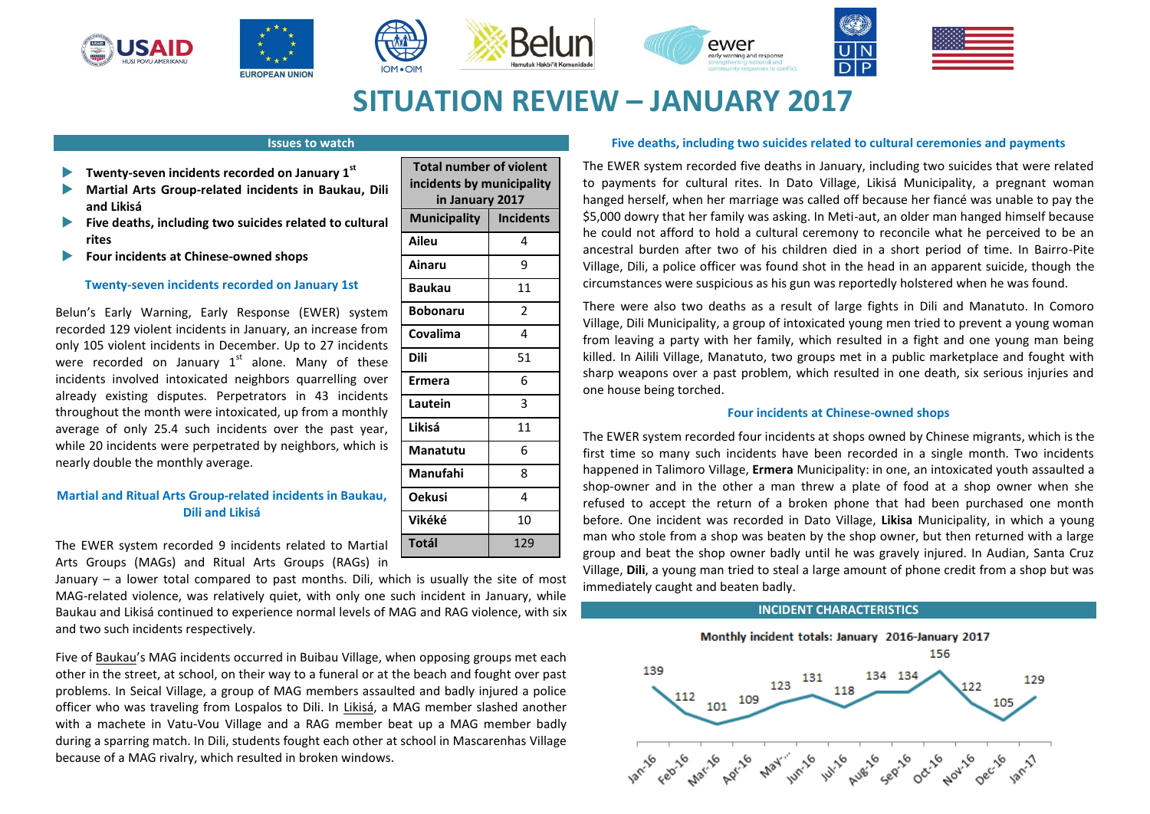





**Total number of violent incidents by municipality in January 2017 Municipality Incidents Aileu** 4 **Ainaru** 9





# **SITUATION REVIEW – JANUARY 2017**

## **Issues to watch**

- **Twenty-seven incidents recorded on January 1st**
- **Martial Arts Group-related incidents in Baukau, Dili and Likisá**
- **Five deaths, including two suicides related to cultural rites**
- **Four incidents at Chinese-owned shops**

## **Twenty-seven incidents recorded on January 1st**

Belun's Early Warning, Early Response (EWER) system recorded 129 violent incidents in January, an increase from only 105 violent incidents in December. Up to 27 incidents were recorded on January  $1^{st}$  alone. Many of these incidents involved intoxicated neighbors quarrelling over already existing disputes. Perpetrators in 43 incidents throughout the month were intoxicated, up from a monthly average of only 25.4 such incidents over the past year, while 20 incidents were perpetrated by neighbors, which is nearly double the monthly average.

## **Martial and Ritual Arts Group-related incidents in Baukau, Dili and Likisá**

| <b>Baukau</b>   | 11             |
|-----------------|----------------|
| <b>Bobonaru</b> | $\overline{2}$ |
| Covalima        | 4              |
| Dili            | 51             |
| <b>Ermera</b>   | 6              |
| Lautein         | 3              |
| Likisá          | 11             |
| Manatutu        | 6              |
| Manufahi        | 8              |
| <b>Oekusi</b>   | 4              |
| Vikéké          | 10             |
| Totál           | 129            |

The EWER system recorded 9 incidents related to Martial Arts Groups (MAGs) and Ritual Arts Groups (RAGs) in

January – a lower total compared to past months. Dili, which is usually the site of most MAG-related violence, was relatively quiet, with only one such incident in January, while Baukau and Likisá continued to experience normal levels of MAG and RAG violence, with six and two such incidents respectively.

Five of Baukau's MAG incidents occurred in Buibau Village, when opposing groups met each other in the street, at school, on their way to a funeral or at the beach and fought over past problems. In Seical Village, a group of MAG members assaulted and badly injured a police officer who was traveling from Lospalos to Dili. In Likisá, a MAG member slashed another with a machete in Vatu-Vou Village and a RAG member beat up a MAG member badly during a sparring match. In Dili, students fought each other at school in Mascarenhas Village because of a MAG rivalry, which resulted in broken windows.

## **Five deaths, including two suicides related to cultural ceremonies and payments**

The EWER system recorded five deaths in January, including two suicides that were related to payments for cultural rites. In Dato Village, Likisá Municipality, a pregnant woman hanged herself, when her marriage was called off because her fiancé was unable to pay the \$5,000 dowry that her family was asking. In Meti-aut, an older man hanged himself because he could not afford to hold a cultural ceremony to reconcile what he perceived to be an ancestral burden after two of his children died in a short period of time. In Bairro-Pite Village, Dili, a police officer was found shot in the head in an apparent suicide, though the circumstances were suspicious as his gun was reportedly holstered when he was found.

There were also two deaths as a result of large fights in Dili and Manatuto. In Comoro Village, Dili Municipality, a group of intoxicated young men tried to prevent a young woman from leaving a party with her family, which resulted in a fight and one young man being killed. In Ailili Village, Manatuto, two groups met in a public marketplace and fought with sharp weapons over a past problem, which resulted in one death, six serious injuries and one house being torched.

## **Four incidents at Chinese-owned shops**

The EWER system recorded four incidents at shops owned by Chinese migrants, which is the first time so many such incidents have been recorded in a single month. Two incidents happened in Talimoro Village, **Ermera** Municipality: in one, an intoxicated youth assaulted a shop-owner and in the other a man threw a plate of food at a shop owner when she refused to accept the return of a broken phone that had been purchased one month before. One incident was recorded in Dato Village, **Likisa** Municipality, in which a young man who stole from a shop was beaten by the shop owner, but then returned with a large group and beat the shop owner badly until he was gravely injured. In Audian, Santa Cruz Village, **Dili**, a young man tried to steal a large amount of phone credit from a shop but was immediately caught and beaten badly.

## **INCIDENT CHARACTERISTICS**

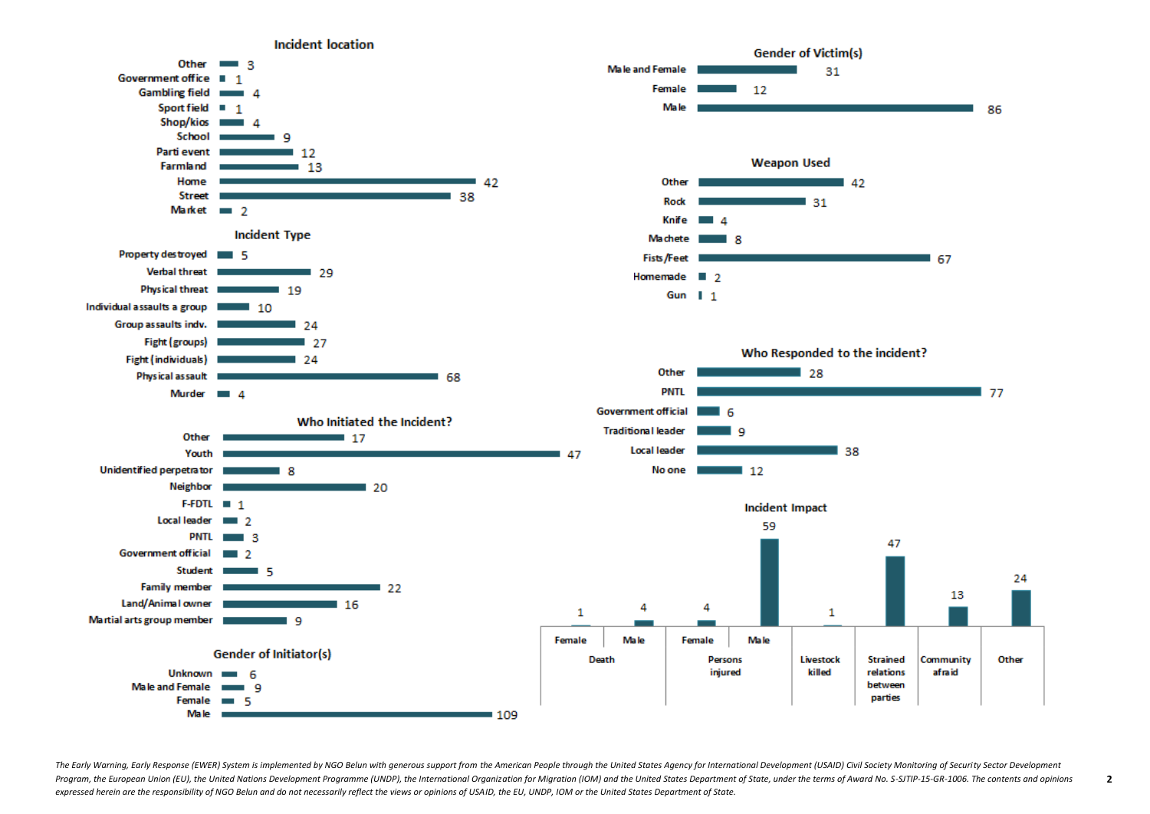

The Early Warning, Early Response (EWER) System is implemented by NGO Belun with generous support from the American People through the United States Agency for International Development (USAID) Civil Society Monitoring of Program, the European Union (EU), the United Nations Development Programme (UNDP), the International Organization for Migration (IOM) and the United States Department of State, under the terms of Award No. S-SJTIP-15-GR-10 *expressed herein are the responsibility of NGO Belun and do not necessarily reflect the views or opinions of USAID, the EU, UNDP, IOM or the United States Department of State.* 

**2**